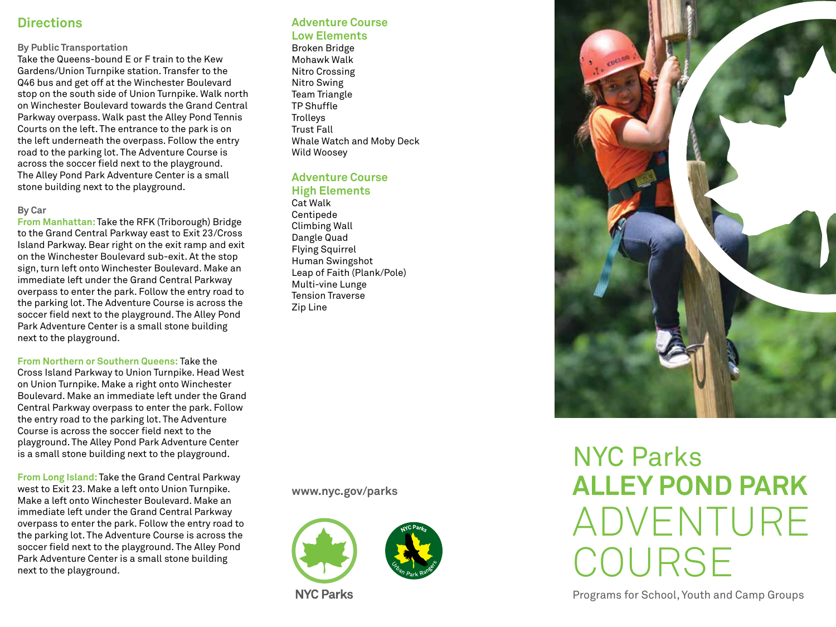## **Directions**

#### **By Public Transportation**

Take the Queens-bound E or F train to the Kew Gardens/Union Turnpike station. Transfer to the Q46 bus and get off at the Winchester Boulevard stop on the south side of Union Turnpike. Walk north on Winchester Boulevard towards the Grand Central Parkway overpass. Walk past the Alley Pond Tennis Courts on the left. The entrance to the park is on the left underneath the overpass. Follow the entry road to the parking lot. The Adventure Course is across the soccer field next to the playground. The Alley Pond Park Adventure Center is a small stone building next to the playground.

#### **By Car**

**From Manhattan:** Take the RFK (Triborough) Bridge to the Grand Central Parkway east to Exit 23/Cross Island Parkway. Bear right on the exit ramp and exit on the Winchester Boulevard sub-exit. At the stop sign, turn left onto Winchester Boulevard. Make an immediate left under the Grand Central Parkway overpass to enter the park. Follow the entry road to the parking lot. The Adventure Course is across the soccer field next to the playground. The Alley Pond Park Adventure Center is a small stone building next to the playground.

**From Northern or Southern Queens:** Take the Cross Island Parkway to Union Turnpike. Head West on Union Turnpike. Make a right onto Winchester Boulevard. Make an immediate left under the Grand Central Parkway overpass to enter the park. Follow the entry road to the parking lot. The Adventure Course is across the soccer field next to the

playground. The Alley Pond Park Adventure Center is a small stone building next to the playground.

**From Long Island:** Take the Grand Central Parkway west to Exit 23. Make a left onto Union Turnpike. Make a left onto Winchester Boulevard. Make an immediate left under the Grand Central Parkway overpass to enter the park. Follow the entry road to the parking lot. The Adventure Course is across the soccer field next to the playground. The Alley Pond Park Adventure Center is a small stone building next to the playground.

#### **Adventure Course Low Elements**

Broken Bridge Mohawk Walk Nitro Crossing Nitro Swing Team Triangle TP Shuffle **Trolleys** Trust Fall Whale Watch and Moby Deck Wild Woosey

#### **Adventure Course High Elements**

Cat Walk Centipede Climbing Wall Dangle Quad Flying Squirrel Human Swingshot Leap of Faith (Plank/Pole) Multi-vine Lunge Tension Traverse Zip Line

**www.nyc.gov/parks**



**NYC Parks** 



# NYC Parks **ALLEY POND PARK** ADVENTURE COURSE

Programs for School, Youth and Camp Groups